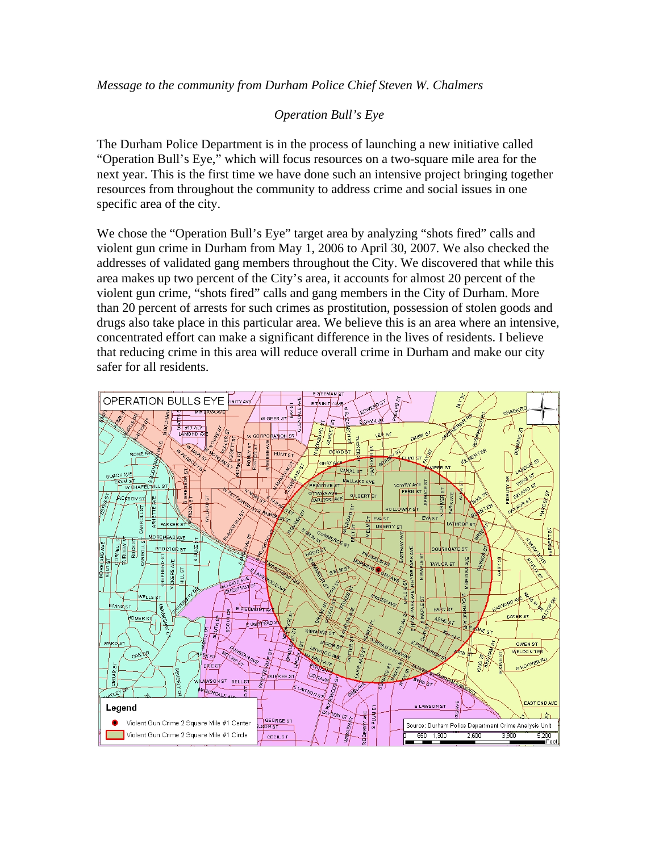## *Operation Bull's Eye*

The Durham Police Department is in the process of launching a new initiative called "Operation Bull's Eye," which will focus resources on a two-square mile area for the next year. This is the first time we have done such an intensive project bringing together resources from throughout the community to address crime and social issues in one specific area of the city.

We chose the "Operation Bull's Eye" target area by analyzing "shots fired" calls and violent gun crime in Durham from May 1, 2006 to April 30, 2007. We also checked the addresses of validated gang members throughout the City. We discovered that while this area makes up two percent of the City's area, it accounts for almost 20 percent of the violent gun crime, "shots fired" calls and gang members in the City of Durham. More than 20 percent of arrests for such crimes as prostitution, possession of stolen goods and drugs also take place in this particular area. We believe this is an area where an intensive, concentrated effort can make a significant difference in the lives of residents. I believe that reducing crime in this area will reduce overall crime in Durham and make our city safer for all residents.

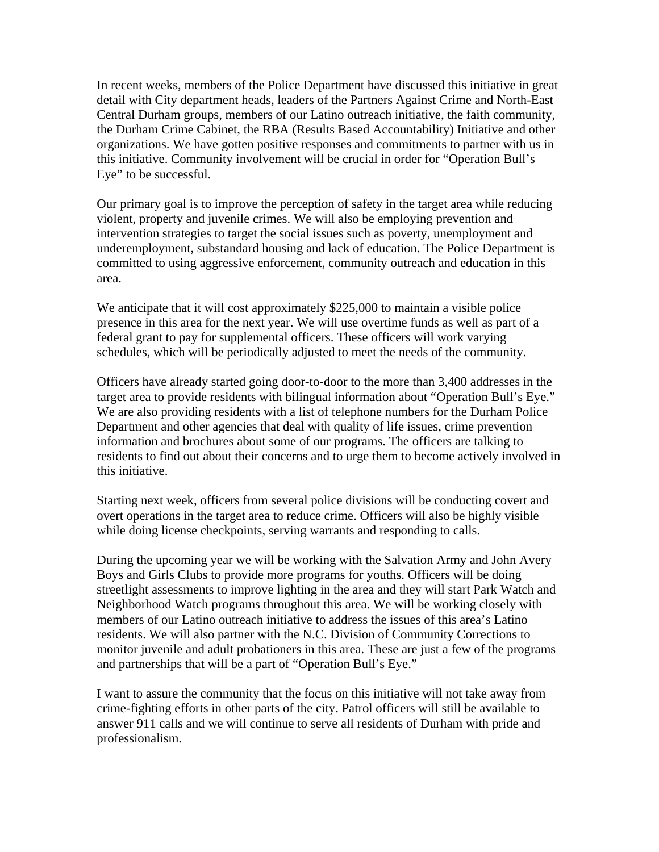In recent weeks, members of the Police Department have discussed this initiative in great detail with City department heads, leaders of the Partners Against Crime and North-East Central Durham groups, members of our Latino outreach initiative, the faith community, the Durham Crime Cabinet, the RBA (Results Based Accountability) Initiative and other organizations. We have gotten positive responses and commitments to partner with us in this initiative. Community involvement will be crucial in order for "Operation Bull's Eye" to be successful.

Our primary goal is to improve the perception of safety in the target area while reducing violent, property and juvenile crimes. We will also be employing prevention and intervention strategies to target the social issues such as poverty, unemployment and underemployment, substandard housing and lack of education. The Police Department is committed to using aggressive enforcement, community outreach and education in this area.

We anticipate that it will cost approximately \$225,000 to maintain a visible police presence in this area for the next year. We will use overtime funds as well as part of a federal grant to pay for supplemental officers. These officers will work varying schedules, which will be periodically adjusted to meet the needs of the community.

Officers have already started going door-to-door to the more than 3,400 addresses in the target area to provide residents with bilingual information about "Operation Bull's Eye." We are also providing residents with a list of telephone numbers for the Durham Police Department and other agencies that deal with quality of life issues, crime prevention information and brochures about some of our programs. The officers are talking to residents to find out about their concerns and to urge them to become actively involved in this initiative.

Starting next week, officers from several police divisions will be conducting covert and overt operations in the target area to reduce crime. Officers will also be highly visible while doing license checkpoints, serving warrants and responding to calls.

During the upcoming year we will be working with the Salvation Army and John Avery Boys and Girls Clubs to provide more programs for youths. Officers will be doing streetlight assessments to improve lighting in the area and they will start Park Watch and Neighborhood Watch programs throughout this area. We will be working closely with members of our Latino outreach initiative to address the issues of this area's Latino residents. We will also partner with the N.C. Division of Community Corrections to monitor juvenile and adult probationers in this area. These are just a few of the programs and partnerships that will be a part of "Operation Bull's Eye."

I want to assure the community that the focus on this initiative will not take away from crime-fighting efforts in other parts of the city. Patrol officers will still be available to answer 911 calls and we will continue to serve all residents of Durham with pride and professionalism.